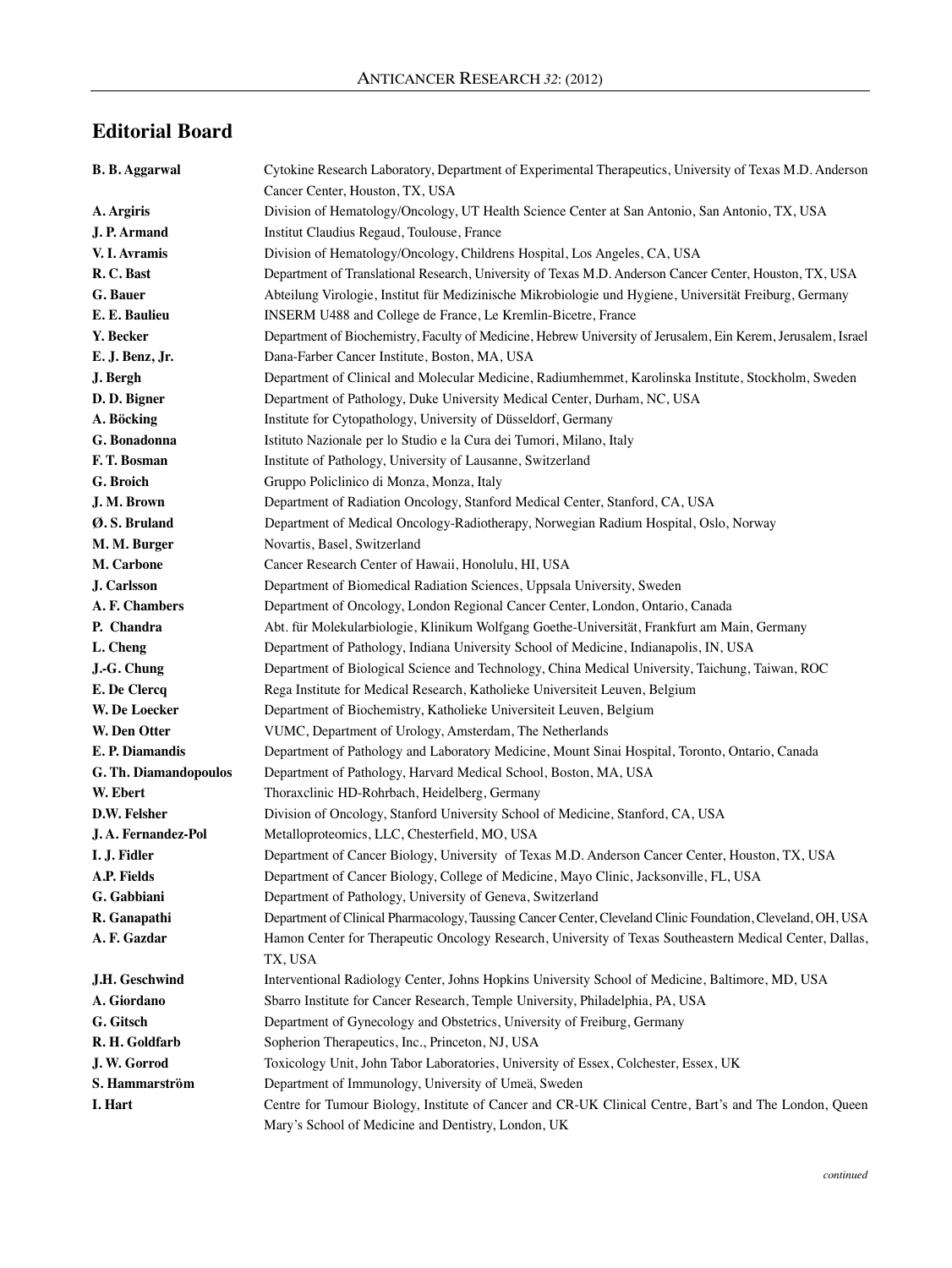## **Editorial Board**

| <b>B. B. Aggarwal</b> | Cytokine Research Laboratory, Department of Experimental Therapeutics, University of Texas M.D. Anderson            |
|-----------------------|---------------------------------------------------------------------------------------------------------------------|
|                       | Cancer Center, Houston, TX, USA                                                                                     |
| A. Argiris            | Division of Hematology/Oncology, UT Health Science Center at San Antonio, San Antonio, TX, USA                      |
| J. P. Armand          | Institut Claudius Regaud, Toulouse, France                                                                          |
| V. I. Avramis         | Division of Hematology/Oncology, Childrens Hospital, Los Angeles, CA, USA                                           |
| R.C. Bast             | Department of Translational Research, University of Texas M.D. Anderson Cancer Center, Houston, TX, USA             |
| G. Bauer              | Abteilung Virologie, Institut für Medizinische Mikrobiologie und Hygiene, Universität Freiburg, Germany             |
| E. E. Baulieu         | INSERM U488 and College de France, Le Kremlin-Bicetre, France                                                       |
| Y. Becker             | Department of Biochemistry, Faculty of Medicine, Hebrew University of Jerusalem, Ein Kerem, Jerusalem, Israel       |
| E. J. Benz, Jr.       | Dana-Farber Cancer Institute, Boston, MA, USA                                                                       |
| J. Bergh              | Department of Clinical and Molecular Medicine, Radiumhemmet, Karolinska Institute, Stockholm, Sweden                |
| D. D. Bigner          | Department of Pathology, Duke University Medical Center, Durham, NC, USA                                            |
| A. Böcking            | Institute for Cytopathology, University of Düsseldorf, Germany                                                      |
| G. Bonadonna          | Istituto Nazionale per lo Studio e la Cura dei Tumori, Milano, Italy                                                |
| F.T. Bosman           | Institute of Pathology, University of Lausanne, Switzerland                                                         |
| G. Broich             | Gruppo Policlinico di Monza, Monza, Italy                                                                           |
| J. M. Brown           | Department of Radiation Oncology, Stanford Medical Center, Stanford, CA, USA                                        |
| Ø.S. Bruland          | Department of Medical Oncology-Radiotherapy, Norwegian Radium Hospital, Oslo, Norway                                |
| M. M. Burger          | Novartis, Basel, Switzerland                                                                                        |
| M. Carbone            | Cancer Research Center of Hawaii, Honolulu, HI, USA                                                                 |
| J. Carlsson           | Department of Biomedical Radiation Sciences, Uppsala University, Sweden                                             |
| A. F. Chambers        | Department of Oncology, London Regional Cancer Center, London, Ontario, Canada                                      |
| P. Chandra            | Abt. für Molekularbiologie, Klinikum Wolfgang Goethe-Universität, Frankfurt am Main, Germany                        |
| L. Cheng              | Department of Pathology, Indiana University School of Medicine, Indianapolis, IN, USA                               |
| J.-G. Chung           | Department of Biological Science and Technology, China Medical University, Taichung, Taiwan, ROC                    |
| E. De Clercq          | Rega Institute for Medical Research, Katholieke Universiteit Leuven, Belgium                                        |
| W. De Loecker         | Department of Biochemistry, Katholieke Universiteit Leuven, Belgium                                                 |
| W. Den Otter          | VUMC, Department of Urology, Amsterdam, The Netherlands                                                             |
| E. P. Diamandis       | Department of Pathology and Laboratory Medicine, Mount Sinai Hospital, Toronto, Ontario, Canada                     |
| G. Th. Diamandopoulos | Department of Pathology, Harvard Medical School, Boston, MA, USA                                                    |
| W. Ebert              | Thoraxclinic HD-Rohrbach, Heidelberg, Germany                                                                       |
| D.W. Felsher          | Division of Oncology, Stanford University School of Medicine, Stanford, CA, USA                                     |
| J.A. Fernandez-Pol    | Metalloproteomics, LLC, Chesterfield, MO, USA                                                                       |
| I. J. Fidler          | Department of Cancer Biology, University of Texas M.D. Anderson Cancer Center, Houston, TX, USA                     |
| A.P. Fields           | Department of Cancer Biology, College of Medicine, Mayo Clinic, Jacksonville, FL, USA                               |
| G. Gabbiani           | Department of Pathology, University of Geneva, Switzerland                                                          |
| R. Ganapathi          | Department of Clinical Pharmacology, Taussing Cancer Center, Cleveland Clinic Foundation, Cleveland, OH, USA        |
| A. F. Gazdar          | Hamon Center for Therapeutic Oncology Research, University of Texas Southeastern Medical Center, Dallas,<br>TX, USA |
| J.H. Geschwind        | Interventional Radiology Center, Johns Hopkins University School of Medicine, Baltimore, MD, USA                    |
| A. Giordano           | Sbarro Institute for Cancer Research, Temple University, Philadelphia, PA, USA                                      |
| G. Gitsch             | Department of Gynecology and Obstetrics, University of Freiburg, Germany                                            |
| R. H. Goldfarb        | Sopherion Therapeutics, Inc., Princeton, NJ, USA                                                                    |
| J. W. Gorrod          | Toxicology Unit, John Tabor Laboratories, University of Essex, Colchester, Essex, UK                                |
| S. Hammarström        | Department of Immunology, University of Umeä, Sweden                                                                |
| I. Hart               | Centre for Tumour Biology, Institute of Cancer and CR-UK Clinical Centre, Bart's and The London, Queen              |
|                       | Mary's School of Medicine and Dentistry, London, UK                                                                 |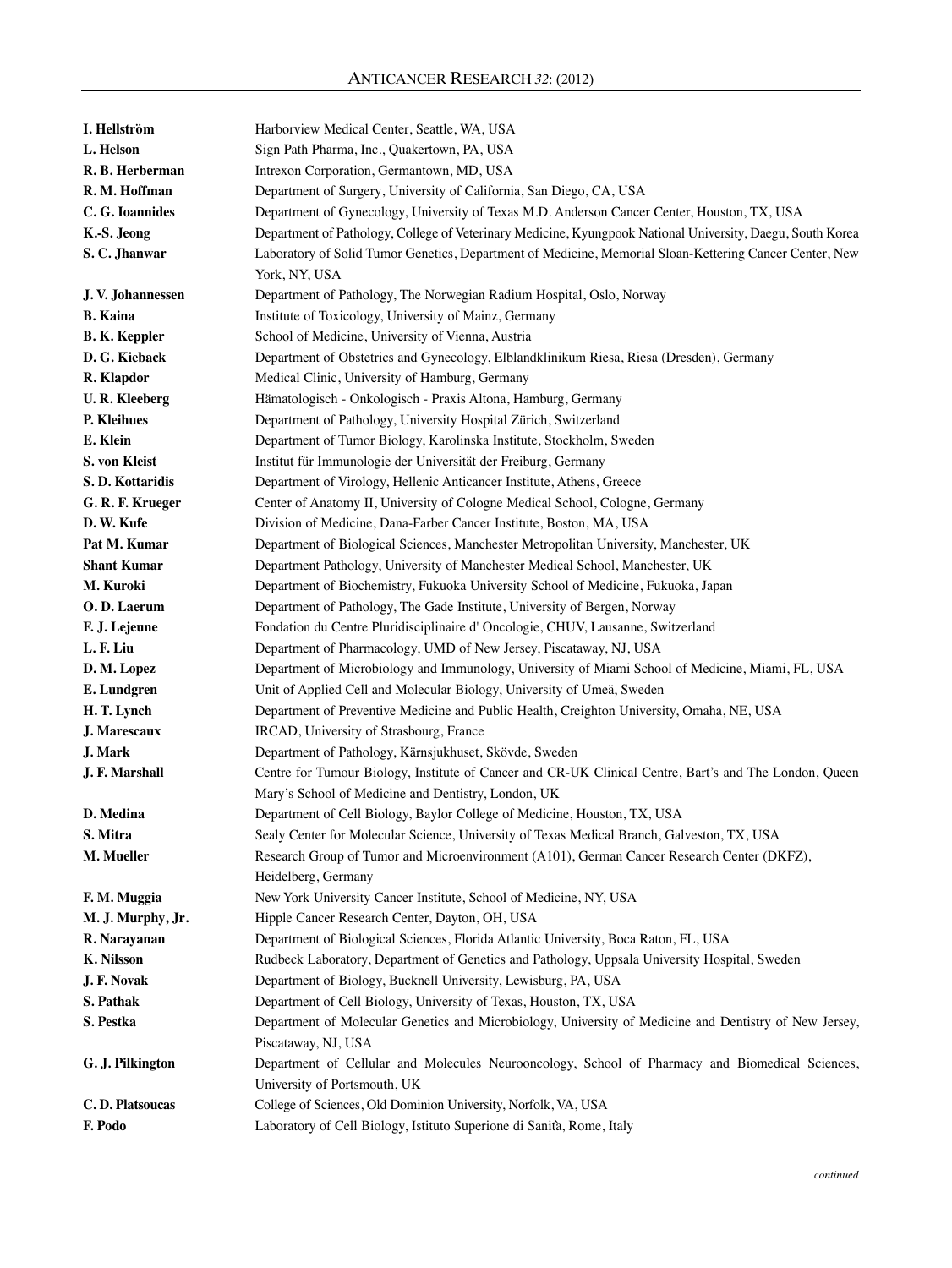| I. Hellström         | Harborview Medical Center, Seattle, WA, USA                                                                |
|----------------------|------------------------------------------------------------------------------------------------------------|
| L. Helson            | Sign Path Pharma, Inc., Quakertown, PA, USA                                                                |
| R. B. Herberman      | Intrexon Corporation, Germantown, MD, USA                                                                  |
| R. M. Hoffman        | Department of Surgery, University of California, San Diego, CA, USA                                        |
| C. G. Ioannides      | Department of Gynecology, University of Texas M.D. Anderson Cancer Center, Houston, TX, USA                |
| K.-S. Jeong          | Department of Pathology, College of Veterinary Medicine, Kyungpook National University, Daegu, South Korea |
| S.C. Jhanwar         | Laboratory of Solid Tumor Genetics, Department of Medicine, Memorial Sloan-Kettering Cancer Center, New    |
|                      | York, NY, USA                                                                                              |
| J.V. Johannessen     | Department of Pathology, The Norwegian Radium Hospital, Oslo, Norway                                       |
| <b>B.</b> Kaina      | Institute of Toxicology, University of Mainz, Germany                                                      |
| <b>B. K. Keppler</b> | School of Medicine, University of Vienna, Austria                                                          |
| D. G. Kieback        | Department of Obstetrics and Gynecology, Elblandklinikum Riesa, Riesa (Dresden), Germany                   |
| R. Klapdor           | Medical Clinic, University of Hamburg, Germany                                                             |
| <b>U.R. Kleeberg</b> | Hämatologisch - Onkologisch - Praxis Altona, Hamburg, Germany                                              |
| P. Kleihues          | Department of Pathology, University Hospital Zürich, Switzerland                                           |
| E. Klein             | Department of Tumor Biology, Karolinska Institute, Stockholm, Sweden                                       |
| S. von Kleist        | Institut für Immunologie der Universität der Freiburg, Germany                                             |
| S.D. Kottaridis      | Department of Virology, Hellenic Anticancer Institute, Athens, Greece                                      |
| G. R. F. Krueger     | Center of Anatomy II, University of Cologne Medical School, Cologne, Germany                               |
| D. W. Kufe           | Division of Medicine, Dana-Farber Cancer Institute, Boston, MA, USA                                        |
| Pat M. Kumar         | Department of Biological Sciences, Manchester Metropolitan University, Manchester, UK                      |
| <b>Shant Kumar</b>   | Department Pathology, University of Manchester Medical School, Manchester, UK                              |
| M. Kuroki            | Department of Biochemistry, Fukuoka University School of Medicine, Fukuoka, Japan                          |
| O.D. Laerum          | Department of Pathology, The Gade Institute, University of Bergen, Norway                                  |
| F. J. Lejeune        | Fondation du Centre Pluridisciplinaire d'Oncologie, CHUV, Lausanne, Switzerland                            |
| L. F. Liu            | Department of Pharmacology, UMD of New Jersey, Piscataway, NJ, USA                                         |
| D. M. Lopez          | Department of Microbiology and Immunology, University of Miami School of Medicine, Miami, FL, USA          |
| E. Lundgren          | Unit of Applied Cell and Molecular Biology, University of Umeä, Sweden                                     |
| H. T. Lynch          | Department of Preventive Medicine and Public Health, Creighton University, Omaha, NE, USA                  |
| J. Marescaux         | IRCAD, University of Strasbourg, France                                                                    |
| J. Mark              | Department of Pathology, Kärnsjukhuset, Skövde, Sweden                                                     |
| J. F. Marshall       | Centre for Tumour Biology, Institute of Cancer and CR-UK Clinical Centre, Bart's and The London, Queen     |
|                      | Mary's School of Medicine and Dentistry, London, UK                                                        |
| D. Medina            | Department of Cell Biology, Baylor College of Medicine, Houston, TX, USA                                   |
| S. Mitra             | Sealy Center for Molecular Science, University of Texas Medical Branch, Galveston, TX, USA                 |
| M. Mueller           | Research Group of Tumor and Microenvironment (A101), German Cancer Research Center (DKFZ),                 |
|                      | Heidelberg, Germany                                                                                        |
| F. M. Muggia         | New York University Cancer Institute, School of Medicine, NY, USA                                          |
| M. J. Murphy, Jr.    | Hipple Cancer Research Center, Dayton, OH, USA                                                             |
| R. Narayanan         | Department of Biological Sciences, Florida Atlantic University, Boca Raton, FL, USA                        |
| <b>K.</b> Nilsson    | Rudbeck Laboratory, Department of Genetics and Pathology, Uppsala University Hospital, Sweden              |
| J. F. Novak          | Department of Biology, Bucknell University, Lewisburg, PA, USA                                             |
| S. Pathak            | Department of Cell Biology, University of Texas, Houston, TX, USA                                          |
| S. Pestka            | Department of Molecular Genetics and Microbiology, University of Medicine and Dentistry of New Jersey,     |
|                      | Piscataway, NJ, USA                                                                                        |
| G. J. Pilkington     | Department of Cellular and Molecules Neurooncology, School of Pharmacy and Biomedical Sciences,            |
|                      | University of Portsmouth, UK                                                                               |
| C.D. Platsoucas      | College of Sciences, Old Dominion University, Norfolk, VA, USA                                             |
| F. Podo              | Laboratory of Cell Biology, Istituto Superione di Sanità, Rome, Italy                                      |